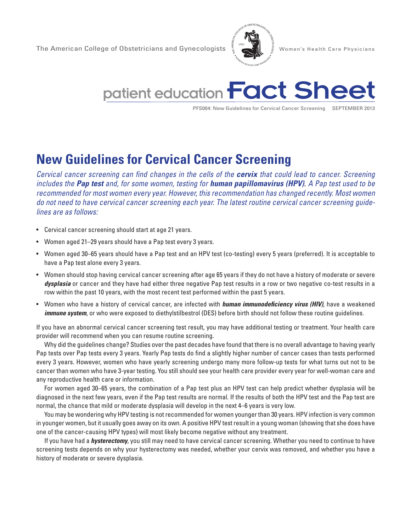The American College of Obstetricians and Gynecologists  $\frac{1}{2}$   $\left\| \frac{1}{2} \right\|$   $\frac{5}{8}$  Women's Health Care





PFS004: New Guidelines for Cervical Cancer Screening SEPTEMBER 2013

## **New Guidelines for Cervical Cancer Screening**

*Cervical cancer screening can find changes in the cells of the cervix that could lead to cancer. Screening includes the Pap test and, for some women, testing for human papillomavirus (HPV). A Pap test used to be recommended for most women every year. However, this recommendation has changed recently. Most women do not need to have cervical cancer screening each year. The latest routine cervical cancer screening guidelines are as follows:*

- Cervical cancer screening should start at age 21 years.
- Women aged 21–29 years should have a Pap test every 3 years.
- • Women aged 30–65 years should have a Pap test and an HPV test (co-testing) every 5 years (preferred). It is acceptable to have a Pap test alone every 3 years.
- • Women should stop having cervical cancer screening after age 65 years if they do not have a history of moderate or severe *dysplasia* or cancer and they have had either three negative Pap test results in a row or two negative co-test results in a row within the past 10 years, with the most recent test performed within the past 5 years.
- • Women who have a history of cervical cancer, are infected with *human immunodeficiency virus (HIV)*, have a weakened *immune system*, or who were exposed to diethylstilbestrol (DES) before birth should not follow these routine guidelines.

If you have an abnormal cervical cancer screening test result, you may have additional testing or treatment. Your health care provider will recommend when you can resume routine screening.

Why did the guidelines change? Studies over the past decades have found that there is no overall advantage to having yearly Pap tests over Pap tests every 3 years. Yearly Pap tests do find a slightly higher number of cancer cases than tests performed every 3 years. However, women who have yearly screening undergo many more follow-up tests for what turns out not to be cancer than women who have 3-year testing. You still should see your health care provider every year for well-woman care and any reproductive health care or information.

For women aged 30–65 years, the combination of a Pap test plus an HPV test can help predict whether dysplasia will be diagnosed in the next few years, even if the Pap test results are normal. If the results of both the HPV test and the Pap test are normal, the chance that mild or moderate dysplasia will develop in the next 4–6 years is very low.

You may be wondering why HPV testing is not recommended for women younger than 30 years. HPV infection is very common in younger women, but it usually goes away on its own. A positive HPV test result in a young woman (showing that she does have one of the cancer-causing HPV types) will most likely become negative without any treatment.

If you have had a *hysterectomy*, you still may need to have cervical cancer screening. Whether you need to continue to have screening tests depends on why your hysterectomy was needed, whether your cervix was removed, and whether you have a history of moderate or severe dysplasia.